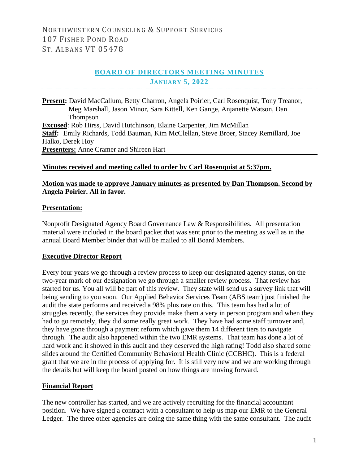# **BOARD OF DIRECTORS MEETING MINUTES JANUARY 5, 2022**

**Present:** David MacCallum, Betty Charron, Angela Poirier, Carl Rosenquist, Tony Treanor, Meg Marshall, Jason Minor, Sara Kittell, Ken Gange, Anjanette Watson, Dan Thompson **Excused**: Rob Hirss, David Hutchinson, Elaine Carpenter, Jim McMillan **Staff:** Emily Richards, Todd Bauman, Kim McClellan, Steve Broer, Stacey Remillard, Joe Halko, Derek Hoy **Presenters:** Anne Cramer and Shireen Hart

### **Minutes received and meeting called to order by Carl Rosenquist at 5:37pm.**

### **Motion was made to approve January minutes as presented by Dan Thompson. Second by Angela Poirier. All in favor.**

### **Presentation:**

Nonprofit Designated Agency Board Governance Law & Responsibilities. All presentation material were included in the board packet that was sent prior to the meeting as well as in the annual Board Member binder that will be mailed to all Board Members.

#### **Executive Director Report**

Every four years we go through a review process to keep our designated agency status, on the two-year mark of our designation we go through a smaller review process. That review has started for us. You all will be part of this review. They state will send us a survey link that will being sending to you soon. Our Applied Behavior Services Team (ABS team) just finished the audit the state performs and received a 98% plus rate on this. This team has had a lot of struggles recently, the services they provide make them a very in person program and when they had to go remotely, they did some really great work. They have had some staff turnover and, they have gone through a payment reform which gave them 14 different tiers to navigate through. The audit also happened within the two EMR systems. That team has done a lot of hard work and it showed in this audit and they deserved the high rating! Todd also shared some slides around the Certified Community Behavioral Health Clinic (CCBHC). This is a federal grant that we are in the process of applying for. It is still very new and we are working through the details but will keep the board posted on how things are moving forward.

#### **Financial Report**

The new controller has started, and we are actively recruiting for the financial accountant position. We have signed a contract with a consultant to help us map our EMR to the General Ledger. The three other agencies are doing the same thing with the same consultant. The audit